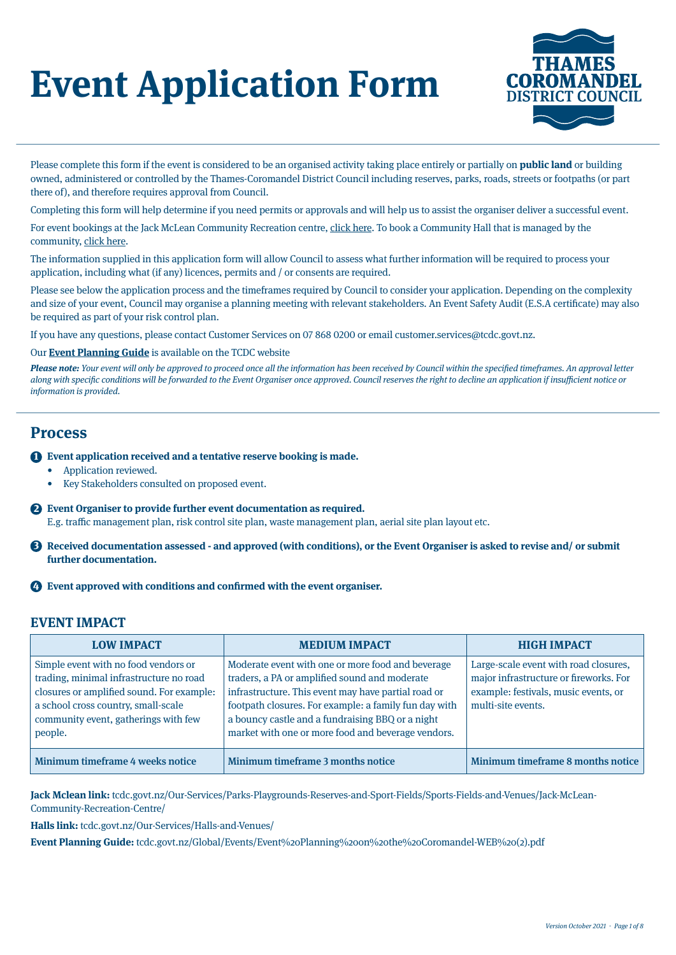# **Event Application Form**



Please complete this form if the event is considered to be an organised activity taking place entirely or partially on **public land** or building owned, administered or controlled by the Thames-Coromandel District Council including reserves, parks, roads, streets or footpaths (or part there of), and therefore requires approval from Council.

Completing this form will help determine if you need permits or approvals and will help us to assist the organiser deliver a successful event.

For event bookings at the Jack McLean Community Recreation centre, [click here](http://www.tcdc.govt.nz/Our-Services/Parks-Playgrounds-Reserves-and-Sport-Fields/Sports-Fields-and-Venues/Jack-McLean-Community-Recreation-Centre/). To book a Community Hall that is managed by the community, [click here.](http://www.tcdc.govt.nz/Our-Services/Halls-and-Venues/)

The information supplied in this application form will allow Council to assess what further information will be required to process your application, including what (if any) licences, permits and / or consents are required.

Please see below the application process and the timeframes required by Council to consider your application. Depending on the complexity and size of your event, Council may organise a planning meeting with relevant stakeholders. An Event Safety Audit (E.S.A certificate) may also be required as part of your risk control plan.

If you have any questions, please contact Customer Services on 07 868 0200 or email customer.services@tcdc.govt.nz.

# Our **[Event Planning Guide](https://www.tcdc.govt.nz/Global/Events/Event%20Planning%20on%20the%20Coromandel-WEB%20(2).pdf)** is available on the TCDC website

Please note: Your event will only be approved to proceed once all the information has been received by Council within the specified timeframes. An approval letter along with specific conditions will be forwarded to the Event Organiser once approved. Council reserves the right to decline an application if insufficient notice or information is provided.

# **Process**

# **Exent application received and a tentative reserve booking is made.**

- Application reviewed.
	- Key Stakeholders consulted on proposed event.
- **Event Organiser to provide further event documentation as required.**  2

E.g. traffic management plan, risk control site plan, waste management plan, aerial site plan layout etc.

**B** Received documentation assessed - and approved (with conditions), or the Event Organiser is asked to revise and/ or submit **further documentation.**

# **Event approved with conditions and confirmed with the event organiser.** 4

# **EVENT IMPACT**

| <b>LOW IMPACT</b>                                                                                                                                                                                                      | <b>MEDIUM IMPACT</b>                                                                                                                                                                                                                                                                                                         | <b>HIGH IMPACT</b>                                                                                                                            |
|------------------------------------------------------------------------------------------------------------------------------------------------------------------------------------------------------------------------|------------------------------------------------------------------------------------------------------------------------------------------------------------------------------------------------------------------------------------------------------------------------------------------------------------------------------|-----------------------------------------------------------------------------------------------------------------------------------------------|
| Simple event with no food vendors or<br>trading, minimal infrastructure no road<br>closures or amplified sound. For example:<br>a school cross country, small-scale<br>community event, gatherings with few<br>people. | Moderate event with one or more food and beverage<br>traders, a PA or amplified sound and moderate<br>infrastructure. This event may have partial road or<br>footpath closures. For example: a family fun day with<br>a bouncy castle and a fundraising BBQ or a night<br>market with one or more food and beverage vendors. | Large-scale event with road closures,<br>major infrastructure or fireworks. For<br>example: festivals, music events, or<br>multi-site events. |
| Minimum timeframe 4 weeks notice                                                                                                                                                                                       | Minimum timeframe 3 months notice                                                                                                                                                                                                                                                                                            | Minimum timeframe 8 months notice                                                                                                             |

**Jack Mclean link:** [tcdc.govt.nz/Our-Services/Parks-Playgrounds-Reserves-and-Sport-Fields/Sports-Fields-and-Venues/Jack-McLean-](http://www.tcdc.govt.nz/Our-Services/Parks-Playgrounds-Reserves-and-Sport-Fields/Sports-Fields-and-Venues/Jack-McLean-Community-Recreation-Centre/)[Community-Recreation-Centre/](http://www.tcdc.govt.nz/Our-Services/Parks-Playgrounds-Reserves-and-Sport-Fields/Sports-Fields-and-Venues/Jack-McLean-Community-Recreation-Centre/)

**Halls link:** [tcdc.govt.nz/Our-Services/Halls-and-Venues/](http://tcdc.govt.nz/Our-Services/Halls-and-Venues/)

**Event Planning Guide:** [tcdc.govt.nz/Global/Events/Event%20Planning%20on%20the%20Coromandel-WEB%20\(2\).pdf](http://tcdc.govt.nz/Global/Events/Event%20Planning%20on%20the%20Coromandel-WEB%20(2).pdf)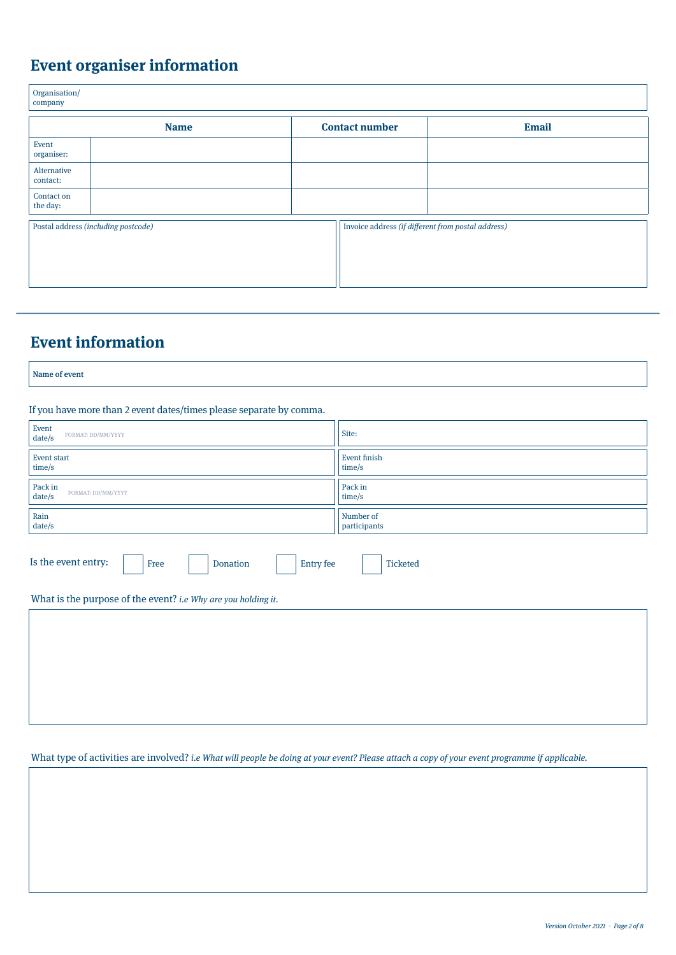# **Event organiser information**

| Organisation/<br>company |                                     |                                                    |              |
|--------------------------|-------------------------------------|----------------------------------------------------|--------------|
|                          | <b>Name</b>                         | <b>Contact number</b>                              | <b>Email</b> |
| Event<br>organiser:      |                                     |                                                    |              |
| Alternative<br>contact:  |                                     |                                                    |              |
| Contact on<br>the day:   |                                     |                                                    |              |
|                          | Postal address (including postcode) | Invoice address (if different from postal address) |              |

# **Event information**

Name of event

If you have more than 2 event dates/times please separate by comma.

| Event<br>FORMAT: DD/MM/YYYY<br>date/s                                   | Site:                     |  |
|-------------------------------------------------------------------------|---------------------------|--|
| <b>Event start</b><br>time/s                                            | Event finish<br>time/s    |  |
| Pack in<br>FORMAT: DD/MM/YYYY<br>date/s                                 | Pack in<br>time/s         |  |
| Rain<br>date/s                                                          | Number of<br>participants |  |
| Is the event entry:<br>Ticketed<br><b>Entry</b> fee<br>Donation<br>Free |                           |  |
| What is the purpose of the event? i.e Why are you holding it.           |                           |  |
|                                                                         |                           |  |

What type of activities are involved? i.e What will people be doing at your event? Please attach a copy of your event programme if applicable.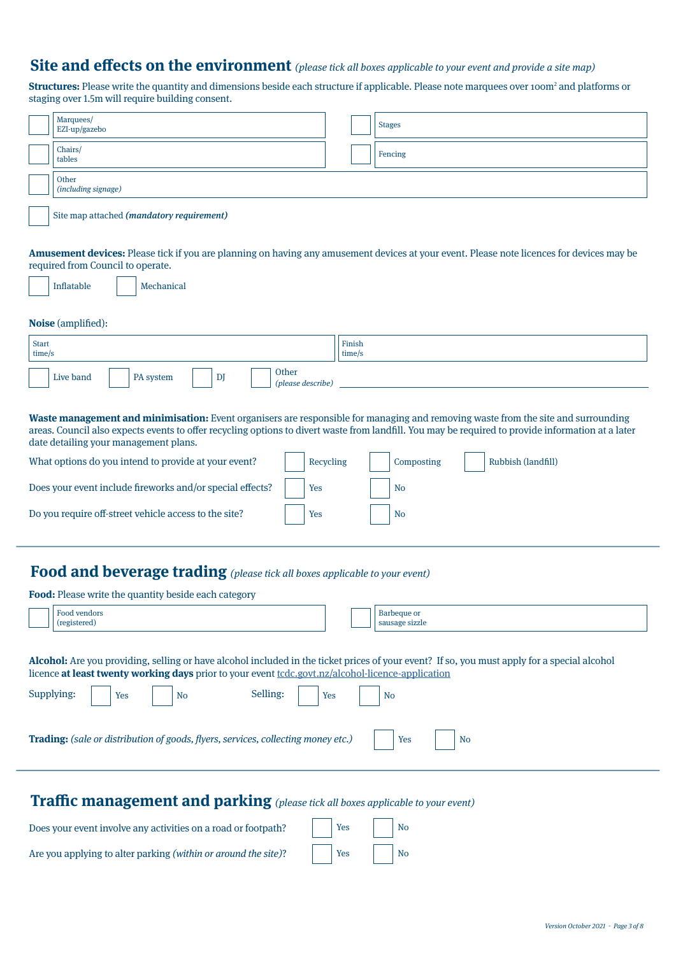# **Site and effects on the environment** (please tick all boxes applicable to your event and provide a site map)

**Structures:** Please write the quantity and dimensions beside each structure if applicable. Please note marquees over 100m<sup>2</sup> and platforms or staging over 1.5m will require building consent.

|                                                                                                                                                                                                                                                                                                                                                                                                                                                                                                                                          | Marquees/<br><b>Stages</b>                                                                                                                                                     |  |  |
|------------------------------------------------------------------------------------------------------------------------------------------------------------------------------------------------------------------------------------------------------------------------------------------------------------------------------------------------------------------------------------------------------------------------------------------------------------------------------------------------------------------------------------------|--------------------------------------------------------------------------------------------------------------------------------------------------------------------------------|--|--|
|                                                                                                                                                                                                                                                                                                                                                                                                                                                                                                                                          | EZI-up/gazebo<br>Chairs/                                                                                                                                                       |  |  |
|                                                                                                                                                                                                                                                                                                                                                                                                                                                                                                                                          | Fencing<br>tables                                                                                                                                                              |  |  |
|                                                                                                                                                                                                                                                                                                                                                                                                                                                                                                                                          | Other<br>(including signage)                                                                                                                                                   |  |  |
|                                                                                                                                                                                                                                                                                                                                                                                                                                                                                                                                          | Site map attached (mandatory requirement)                                                                                                                                      |  |  |
|                                                                                                                                                                                                                                                                                                                                                                                                                                                                                                                                          | Amusement devices: Please tick if you are planning on having any amusement devices at your event. Please note licences for devices may be<br>required from Council to operate. |  |  |
|                                                                                                                                                                                                                                                                                                                                                                                                                                                                                                                                          | Inflatable<br>Mechanical                                                                                                                                                       |  |  |
|                                                                                                                                                                                                                                                                                                                                                                                                                                                                                                                                          | Noise (amplified):                                                                                                                                                             |  |  |
| <b>Start</b><br>time/s                                                                                                                                                                                                                                                                                                                                                                                                                                                                                                                   | Finish<br>time/s                                                                                                                                                               |  |  |
|                                                                                                                                                                                                                                                                                                                                                                                                                                                                                                                                          | Other<br>Live band<br>DJ<br>PA system<br>(please describe)                                                                                                                     |  |  |
| Waste management and minimisation: Event organisers are responsible for managing and removing waste from the site and surrounding<br>areas. Council also expects events to offer recycling options to divert waste from landfill. You may be required to provide information at a later<br>date detailing your management plans.                                                                                                                                                                                                         |                                                                                                                                                                                |  |  |
|                                                                                                                                                                                                                                                                                                                                                                                                                                                                                                                                          | What options do you intend to provide at your event?<br>Recycling<br>Composting<br>Rubbish (landfill)                                                                          |  |  |
| Does your event include fireworks and/or special effects?<br>Yes<br>No                                                                                                                                                                                                                                                                                                                                                                                                                                                                   |                                                                                                                                                                                |  |  |
|                                                                                                                                                                                                                                                                                                                                                                                                                                                                                                                                          | Do you require off-street vehicle access to the site?<br>Yes<br>N <sub>o</sub>                                                                                                 |  |  |
| <b>Food and beverage trading</b> (please tick all boxes applicable to your event)<br><b>Food:</b> Please write the quantity beside each category<br>Food vendors<br>Barbeque or<br>(registered)<br>sausage sizzle<br>Alcohol: Are you providing, selling or have alcohol included in the ticket prices of your event? If so, you must apply for a special alcohol<br>licence at least twenty working days prior to your event tcdc.govt.nz/alcohol-licence-application<br>Selling:<br>Supplying:<br>Yes<br><b>No</b><br>Yes<br><b>No</b> |                                                                                                                                                                                |  |  |
| Trading: (sale or distribution of goods, flyers, services, collecting money etc.)<br>Yes<br><b>No</b>                                                                                                                                                                                                                                                                                                                                                                                                                                    |                                                                                                                                                                                |  |  |
| <b>Traffic management and parking</b> (please tick all boxes applicable to your event)                                                                                                                                                                                                                                                                                                                                                                                                                                                   |                                                                                                                                                                                |  |  |
|                                                                                                                                                                                                                                                                                                                                                                                                                                                                                                                                          | Doge vous quant involve any activities on a road or footpath?<br>Voc<br>N <sub>c</sub>                                                                                         |  |  |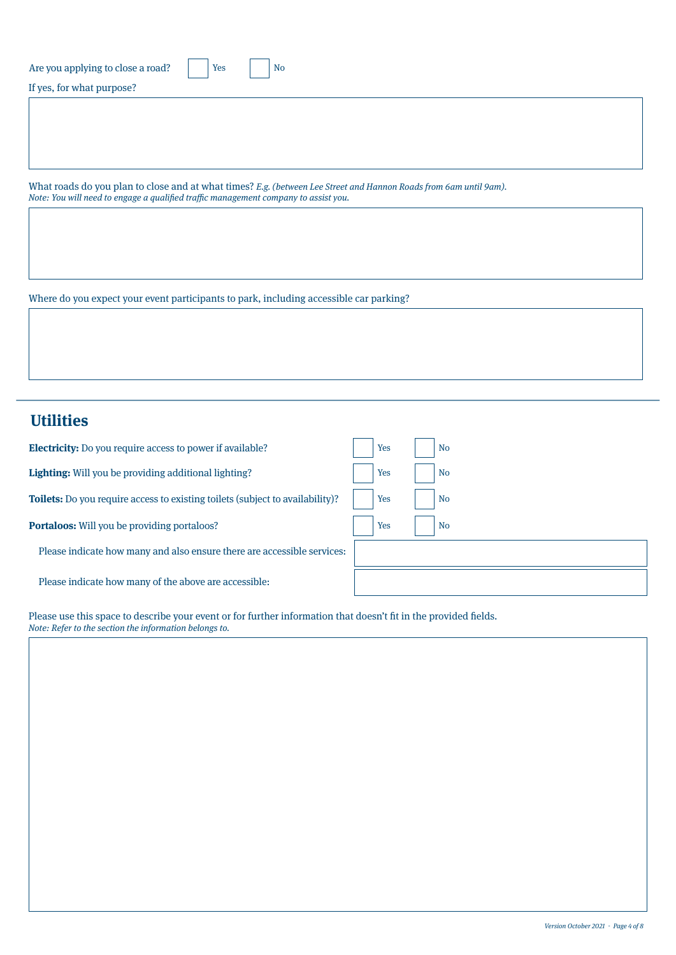| Are you applying to close a road? |  |
|-----------------------------------|--|
|                                   |  |

If yes, for what purpose?

What roads do you plan to close and at what times? E.g. (between Lee Street and Hannon Roads from 6am until 9am). Note: You will need to engage a qualified traffic management company to assist you.

Where do you expect your event participants to park, including accessible car parking?

# **Utilities**

| <b>Electricity:</b> Do you require access to power if available?                     | Yes<br><b>No</b> |
|--------------------------------------------------------------------------------------|------------------|
| Lighting: Will you be providing additional lighting?                                 | Yes<br><b>No</b> |
| <b>Toilets:</b> Do you require access to existing toilets (subject to availability)? | Yes<br><b>No</b> |
| <b>Portaloos:</b> Will you be providing portaloos?                                   | Yes<br><b>No</b> |
| Please indicate how many and also ensure there are accessible services:              |                  |
| Please indicate how many of the above are accessible:                                |                  |

Please use this space to describe your event or for further information that doesn't fit in the provided fields. Note: Refer to the section the information belongs to.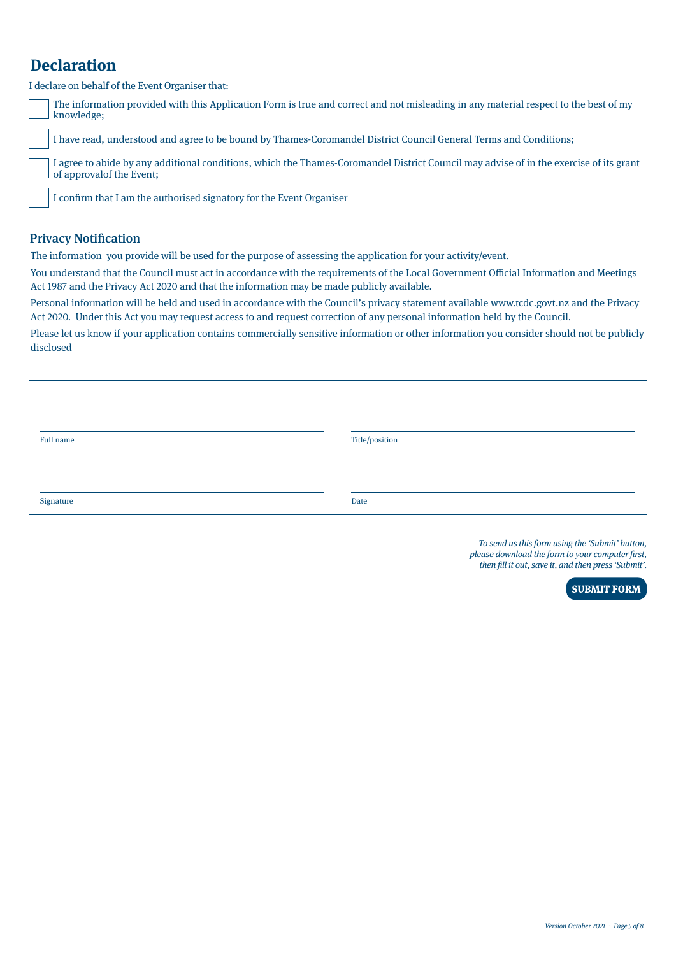# **Declaration**

I declare on behalf of the Event Organiser that:

| The information provided with this Application Form is true and correct and not misleading in any material respect to the best of my<br>$\Box$ knowledge: |
|-----------------------------------------------------------------------------------------------------------------------------------------------------------|
|                                                                                                                                                           |

I have read, understood and agree to be bound by Thames-Coromandel District Council General Terms and Conditions;

I agree to abide by any additional conditions, which the Thames-Coromandel District Council may advise of in the exercise of its grant of approvalof the Event;

I confirm that I am the authorised signatory for the Event Organiser

# Privacy Notification

The information you provide will be used for the purpose of assessing the application for your activity/event.

You understand that the Council must act in accordance with the requirements of the Local Government Official Information and Meetings Act 1987 and the Privacy Act 2020 and that the information may be made publicly available.

Personal information will be held and used in accordance with the Council's privacy statement available www.tcdc.govt.nz and the Privacy Act 2020. Under this Act you may request access to and request correction of any personal information held by the Council.

Please let us know if your application contains commercially sensitive information or other information you consider should not be publicly disclosed

| Full name | Title/position |
|-----------|----------------|
|           |                |
|           |                |
| Signature | Date           |

To send us this form using the 'Submit' button, please download the form to your computer first, then fill it out, save it, and then press 'Submit'.

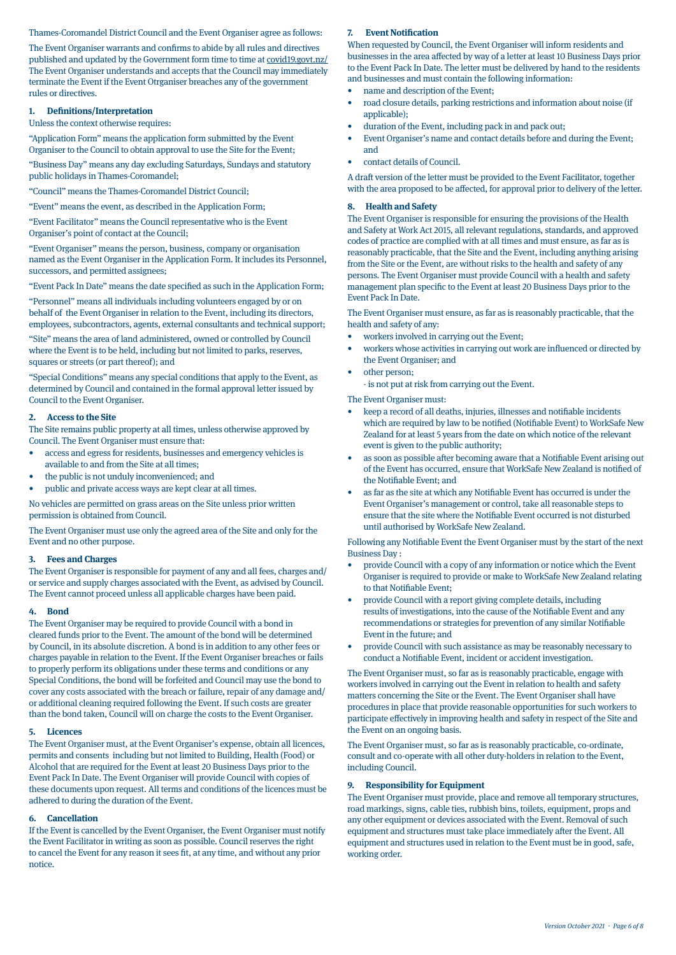# Thames-Coromandel District Council and the Event Organiser agree as follows:

The Event Organiser warrants and confirms to abide by all rules and directives published and updated by the Government form time to time at [covid19.govt.nz/](http://covid19.govt.nz/ )  The Event Organiser understands and accepts that the Council may immediately terminate the Event if the Event Otrganiser breaches any of the government rules or directives.

#### **1. Definitions/Interpretation**

Unless the context otherwise requires:

"Application Form" means the application form submitted by the Event Organiser to the Council to obtain approval to use the Site for the Event;

"Business Day" means any day excluding Saturdays, Sundays and statutory public holidays in Thames-Coromandel;

"Council" means the Thames-Coromandel District Council;

"Event" means the event, as described in the Application Form;

"Event Facilitator" means the Council representative who is the Event Organiser's point of contact at the Council;

"Event Organiser" means the person, business, company or organisation named as the Event Organiser in the Application Form. It includes its Personnel, successors, and permitted assignees;

"Event Pack In Date" means the date specified as such in the Application Form;

"Personnel" means all individuals including volunteers engaged by or on behalf of the Event Organiser in relation to the Event, including its directors, employees, subcontractors, agents, external consultants and technical support;

"Site" means the area of land administered, owned or controlled by Council where the Event is to be held, including but not limited to parks, reserves, squares or streets (or part thereof); and

"Special Conditions" means any special conditions that apply to the Event, as determined by Council and contained in the formal approval letter issued by Council to the Event Organiser.

## **2. Access to the Site**

The Site remains public property at all times, unless otherwise approved by Council. The Event Organiser must ensure that:

- access and egress for residents, businesses and emergency vehicles is available to and from the Site at all times;
- the public is not unduly inconvenienced; and
- public and private access ways are kept clear at all times.

No vehicles are permitted on grass areas on the Site unless prior written permission is obtained from Council.

The Event Organiser must use only the agreed area of the Site and only for the Event and no other purpose.

#### **3. Fees and Charges**

The Event Organiser is responsible for payment of any and all fees, charges and/ or service and supply charges associated with the Event, as advised by Council. The Event cannot proceed unless all applicable charges have been paid.

#### **4. Bond**

The Event Organiser may be required to provide Council with a bond in cleared funds prior to the Event. The amount of the bond will be determined by Council, in its absolute discretion. A bond is in addition to any other fees or charges payable in relation to the Event. If the Event Organiser breaches or fails to properly perform its obligations under these terms and conditions or any Special Conditions, the bond will be forfeited and Council may use the bond to cover any costs associated with the breach or failure, repair of any damage and/ or additional cleaning required following the Event. If such costs are greater than the bond taken, Council will on charge the costs to the Event Organiser.

#### **5. Licences**

The Event Organiser must, at the Event Organiser's expense, obtain all licences, permits and consents including but not limited to Building, Health (Food) or Alcohol that are required for the Event at least 20 Business Days prior to the Event Pack In Date. The Event Organiser will provide Council with copies of these documents upon request. All terms and conditions of the licences must be adhered to during the duration of the Event.

#### **6. Cancellation**

If the Event is cancelled by the Event Organiser, the Event Organiser must notify the Event Facilitator in writing as soon as possible. Council reserves the right to cancel the Event for any reason it sees fit, at any time, and without any prior notice.

#### **7. Event Notification**

When requested by Council, the Event Organiser will inform residents and businesses in the area affected by way of a letter at least 10 Business Days prior to the Event Pack In Date. The letter must be delivered by hand to the residents and businesses and must contain the following information:

- name and description of the Event;
- road closure details, parking restrictions and information about noise (if applicable);
- duration of the Event, including pack in and pack out;
- Event Organiser's name and contact details before and during the Event; and
- contact details of Council.

A draft version of the letter must be provided to the Event Facilitator, together with the area proposed to be affected, for approval prior to delivery of the letter.

#### **8. Health and Safety**

The Event Organiser is responsible for ensuring the provisions of the Health and Safety at Work Act 2015, all relevant regulations, standards, and approved codes of practice are complied with at all times and must ensure, as far as is reasonably practicable, that the Site and the Event, including anything arising from the Site or the Event, are without risks to the health and safety of any persons. The Event Organiser must provide Council with a health and safety management plan specific to the Event at least 20 Business Days prior to the Event Pack In Date.

The Event Organiser must ensure, as far as is reasonably practicable, that the health and safety of any:

- workers involved in carrying out the Event;
- workers whose activities in carrying out work are influenced or directed by the Event Organiser; and
- other person;

- is not put at risk from carrying out the Event.

The Event Organiser must:

- keep a record of all deaths, injuries, illnesses and notifiable incidents which are required by law to be notified (Notifiable Event) to WorkSafe New Zealand for at least 5 years from the date on which notice of the relevant event is given to the public authority;
- as soon as possible after becoming aware that a Notifiable Event arising out of the Event has occurred, ensure that WorkSafe New Zealand is notified of the Notifiable Event; and
- as far as the site at which any Notifiable Event has occurred is under the Event Organiser's management or control, take all reasonable steps to ensure that the site where the Notifiable Event occurred is not disturbed until authorised by WorkSafe New Zealand.

Following any Notifiable Event the Event Organiser must by the start of the next Business Day :

- provide Council with a copy of any information or notice which the Event Organiser is required to provide or make to WorkSafe New Zealand relating to that Notifiable Event;
- provide Council with a report giving complete details, including results of investigations, into the cause of the Notifiable Event and any recommendations or strategies for prevention of any similar Notifiable Event in the future; and
- provide Council with such assistance as may be reasonably necessary to conduct a Notifiable Event, incident or accident investigation.

The Event Organiser must, so far as is reasonably practicable, engage with workers involved in carrying out the Event in relation to health and safety matters concerning the Site or the Event. The Event Organiser shall have procedures in place that provide reasonable opportunities for such workers to participate effectively in improving health and safety in respect of the Site and the Event on an ongoing basis.

The Event Organiser must, so far as is reasonably practicable, co-ordinate, consult and co-operate with all other duty-holders in relation to the Event, including Council.

#### **9. Responsibility for Equipment**

The Event Organiser must provide, place and remove all temporary structures, road markings, signs, cable ties, rubbish bins, toilets, equipment, props and any other equipment or devices associated with the Event. Removal of such equipment and structures must take place immediately after the Event. All equipment and structures used in relation to the Event must be in good, safe, working order.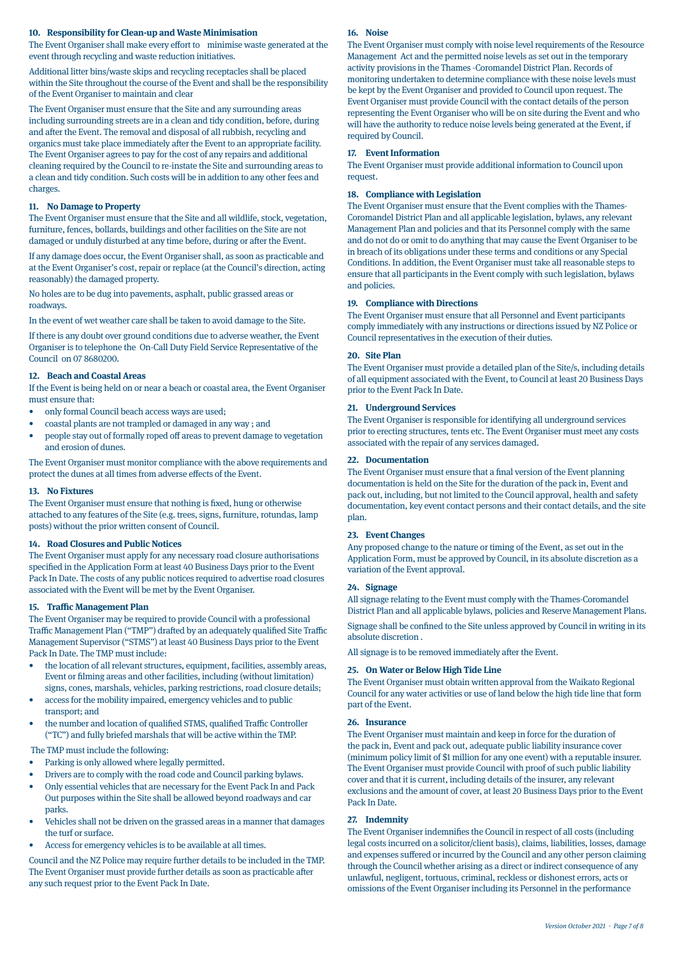# **10. Responsibility for Clean-up and Waste Minimisation**

The Event Organiser shall make every effort to minimise waste generated at the event through recycling and waste reduction initiatives.

Additional litter bins/waste skips and recycling receptacles shall be placed within the Site throughout the course of the Event and shall be the responsibility of the Event Organiser to maintain and clear

The Event Organiser must ensure that the Site and any surrounding areas including surrounding streets are in a clean and tidy condition, before, during and after the Event. The removal and disposal of all rubbish, recycling and organics must take place immediately after the Event to an appropriate facility. The Event Organiser agrees to pay for the cost of any repairs and additional cleaning required by the Council to re-instate the Site and surrounding areas to a clean and tidy condition. Such costs will be in addition to any other fees and charges.

## **11. No Damage to Property**

The Event Organiser must ensure that the Site and all wildlife, stock, vegetation, furniture, fences, bollards, buildings and other facilities on the Site are not damaged or unduly disturbed at any time before, during or after the Event.

If any damage does occur, the Event Organiser shall, as soon as practicable and at the Event Organiser's cost, repair or replace (at the Council's direction, acting reasonably) the damaged property.

No holes are to be dug into pavements, asphalt, public grassed areas or roadways.

In the event of wet weather care shall be taken to avoid damage to the Site.

If there is any doubt over ground conditions due to adverse weather, the Event Organiser is to telephone the On-Call Duty Field Service Representative of the Council on 07 8680200.

#### **12. Beach and Coastal Areas**

If the Event is being held on or near a beach or coastal area, the Event Organiser must ensure that:

- only formal Council beach access ways are used;
- coastal plants are not trampled or damaged in any way ; and
- people stay out of formally roped off areas to prevent damage to vegetation and erosion of dunes.

The Event Organiser must monitor compliance with the above requirements and protect the dunes at all times from adverse effects of the Event.

#### **13. No Fixtures**

The Event Organiser must ensure that nothing is fixed, hung or otherwise attached to any features of the Site (e.g. trees, signs, furniture, rotundas, lamp posts) without the prior written consent of Council.

#### **14. Road Closures and Public Notices**

The Event Organiser must apply for any necessary road closure authorisations specified in the Application Form at least 40 Business Days prior to the Event Pack In Date. The costs of any public notices required to advertise road closures associated with the Event will be met by the Event Organiser.

#### **15. Traffic Management Plan**

The Event Organiser may be required to provide Council with a professional Traffic Management Plan ("TMP") drafted by an adequately qualified Site Traffic Management Supervisor ("STMS") at least 40 Business Days prior to the Event Pack In Date. The TMP must include:

- the location of all relevant structures, equipment, facilities, assembly areas, Event or filming areas and other facilities, including (without limitation) signs, cones, marshals, vehicles, parking restrictions, road closure details;
- access for the mobility impaired, emergency vehicles and to public transport; and
- the number and location of qualified STMS, qualified Traffic Controller ("TC") and fully briefed marshals that will be active within the TMP.

The TMP must include the following:

- Parking is only allowed where legally permitted.
- Drivers are to comply with the road code and Council parking bylaws.
- Only essential vehicles that are necessary for the Event Pack In and Pack Out purposes within the Site shall be allowed beyond roadways and car parks.
- Vehicles shall not be driven on the grassed areas in a manner that damages the turf or surface.
- Access for emergency vehicles is to be available at all times.

Council and the NZ Police may require further details to be included in the TMP. The Event Organiser must provide further details as soon as practicable after any such request prior to the Event Pack In Date.

#### **16. Noise**

The Event Organiser must comply with noise level requirements of the Resource Management Act and the permitted noise levels as set out in the temporary activity provisions in the Thames -Coromandel District Plan. Records of monitoring undertaken to determine compliance with these noise levels must be kept by the Event Organiser and provided to Council upon request. The Event Organiser must provide Council with the contact details of the person representing the Event Organiser who will be on site during the Event and who will have the authority to reduce noise levels being generated at the Event, if required by Council.

#### **17. Event Information**

The Event Organiser must provide additional information to Council upon request.

#### **18. Compliance with Legislation**

The Event Organiser must ensure that the Event complies with the Thames-Coromandel District Plan and all applicable legislation, bylaws, any relevant Management Plan and policies and that its Personnel comply with the same and do not do or omit to do anything that may cause the Event Organiser to be in breach of its obligations under these terms and conditions or any Special Conditions. In addition, the Event Organiser must take all reasonable steps to ensure that all participants in the Event comply with such legislation, bylaws and policies.

# **19. Compliance with Directions**

The Event Organiser must ensure that all Personnel and Event participants comply immediately with any instructions or directions issued by NZ Police or Council representatives in the execution of their duties.

#### **20. Site Plan**

The Event Organiser must provide a detailed plan of the Site/s, including details of all equipment associated with the Event, to Council at least 20 Business Days prior to the Event Pack In Date.

#### **21. Underground Services**

The Event Organiser is responsible for identifying all underground services prior to erecting structures, tents etc. The Event Organiser must meet any costs associated with the repair of any services damaged.

#### **22. Documentation**

The Event Organiser must ensure that a final version of the Event planning documentation is held on the Site for the duration of the pack in, Event and pack out, including, but not limited to the Council approval, health and safety documentation, key event contact persons and their contact details, and the site plan.

#### **23. Event Changes**

Any proposed change to the nature or timing of the Event, as set out in the Application Form, must be approved by Council, in its absolute discretion as a variation of the Event approval.

#### **24. Signage**

All signage relating to the Event must comply with the Thames-Coromandel District Plan and all applicable bylaws, policies and Reserve Management Plans.

Signage shall be confined to the Site unless approved by Council in writing in its absolute discretion .

All signage is to be removed immediately after the Event.

#### **25. On Water or Below High Tide Line**

The Event Organiser must obtain written approval from the Waikato Regional Council for any water activities or use of land below the high tide line that form part of the Event.

#### **26. Insurance**

The Event Organiser must maintain and keep in force for the duration of the pack in, Event and pack out, adequate public liability insurance cover (minimum policy limit of \$1 million for any one event) with a reputable insurer. The Event Organiser must provide Council with proof of such public liability cover and that it is current, including details of the insurer, any relevant exclusions and the amount of cover, at least 20 Business Days prior to the Event Pack In Date.

#### **27. Indemnity**

The Event Organiser indemnifies the Council in respect of all costs (including legal costs incurred on a solicitor/client basis), claims, liabilities, losses, damage and expenses suffered or incurred by the Council and any other person claiming through the Council whether arising as a direct or indirect consequence of any unlawful, negligent, tortuous, criminal, reckless or dishonest errors, acts or omissions of the Event Organiser including its Personnel in the performance